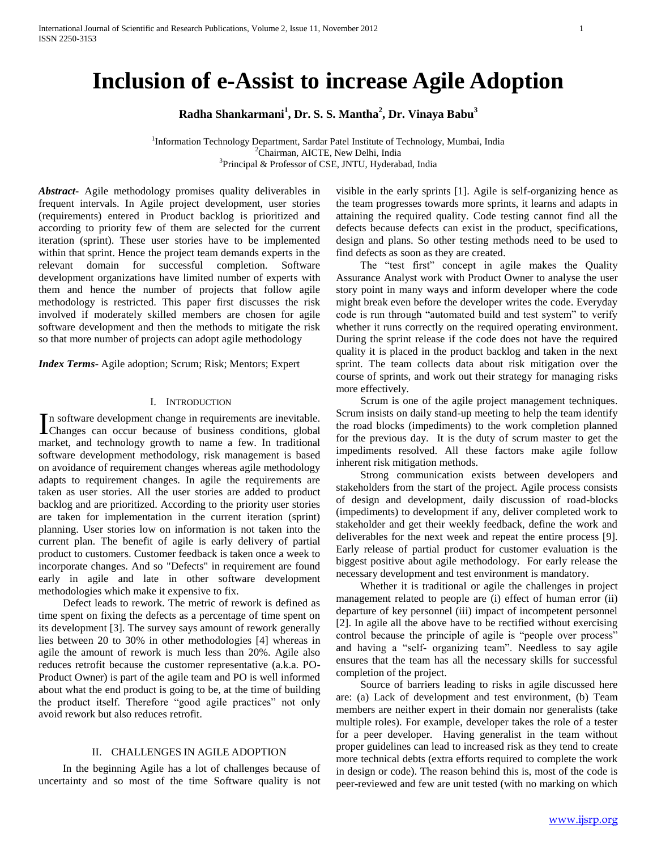# **Inclusion of e-Assist to increase Agile Adoption**

**Radha Shankarmani<sup>1</sup> , Dr. S. S. Mantha<sup>2</sup> , Dr. Vinaya Babu<sup>3</sup>**

<sup>1</sup>Information Technology Department, Sardar Patel Institute of Technology, Mumbai, India <sup>2</sup>Chairman, AICTE, New Delhi, India <sup>3</sup>Principal & Professor of CSE, JNTU, Hyderabad, India

*Abstract***-** Agile methodology promises quality deliverables in frequent intervals. In Agile project development, user stories (requirements) entered in Product backlog is prioritized and according to priority few of them are selected for the current iteration (sprint). These user stories have to be implemented within that sprint. Hence the project team demands experts in the relevant domain for successful completion. Software development organizations have limited number of experts with them and hence the number of projects that follow agile methodology is restricted. This paper first discusses the risk involved if moderately skilled members are chosen for agile software development and then the methods to mitigate the risk so that more number of projects can adopt agile methodology

*Index Terms*- Agile adoption; Scrum; Risk; Mentors; Expert

# I. INTRODUCTION

n software development change in requirements are inevitable. In software development change in requirements are inevitable.<br>
Changes can occur because of business conditions, global market, and technology growth to name a few. In traditional software development methodology, risk management is based on avoidance of requirement changes whereas agile methodology adapts to requirement changes. In agile the requirements are taken as user stories. All the user stories are added to product backlog and are prioritized. According to the priority user stories are taken for implementation in the current iteration (sprint) planning. User stories low on information is not taken into the current plan. The benefit of agile is early delivery of partial product to customers. Customer feedback is taken once a week to incorporate changes. And so "Defects" in requirement are found early in agile and late in other software development methodologies which make it expensive to fix.

 Defect leads to rework. The metric of rework is defined as time spent on fixing the defects as a percentage of time spent on its development [3]. The survey says amount of rework generally lies between 20 to 30% in other methodologies [4] whereas in agile the amount of rework is much less than 20%. Agile also reduces retrofit because the customer representative (a.k.a. PO-Product Owner) is part of the agile team and PO is well informed about what the end product is going to be, at the time of building the product itself. Therefore "good agile practices" not only avoid rework but also reduces retrofit.

# II. CHALLENGES IN AGILE ADOPTION

 In the beginning Agile has a lot of challenges because of uncertainty and so most of the time Software quality is not

visible in the early sprints [1]. Agile is self-organizing hence as the team progresses towards more sprints, it learns and adapts in attaining the required quality. Code testing cannot find all the defects because defects can exist in the product, specifications, design and plans. So other testing methods need to be used to find defects as soon as they are created.

 The "test first" concept in agile makes the Quality Assurance Analyst work with Product Owner to analyse the user story point in many ways and inform developer where the code might break even before the developer writes the code. Everyday code is run through "automated build and test system" to verify whether it runs correctly on the required operating environment. During the sprint release if the code does not have the required quality it is placed in the product backlog and taken in the next sprint. The team collects data about risk mitigation over the course of sprints, and work out their strategy for managing risks more effectively.

 Scrum is one of the agile project management techniques. Scrum insists on daily stand-up meeting to help the team identify the road blocks (impediments) to the work completion planned for the previous day. It is the duty of scrum master to get the impediments resolved. All these factors make agile follow inherent risk mitigation methods.

 Strong communication exists between developers and stakeholders from the start of the project. Agile process consists of design and development, daily discussion of road-blocks (impediments) to development if any, deliver completed work to stakeholder and get their weekly feedback, define the work and deliverables for the next week and repeat the entire process [9]. Early release of partial product for customer evaluation is the biggest positive about agile methodology. For early release the necessary development and test environment is mandatory.

 Whether it is traditional or agile the challenges in project management related to people are (i) effect of human error (ii) departure of key personnel (iii) impact of incompetent personnel [2]. In agile all the above have to be rectified without exercising control because the principle of agile is "people over process" and having a "self- organizing team". Needless to say agile ensures that the team has all the necessary skills for successful completion of the project.

 Source of barriers leading to risks in agile discussed here are: (a) Lack of development and test environment, (b) Team members are neither expert in their domain nor generalists (take multiple roles). For example, developer takes the role of a tester for a peer developer. Having generalist in the team without proper guidelines can lead to increased risk as they tend to create more technical debts (extra efforts required to complete the work in design or code). The reason behind this is, most of the code is peer-reviewed and few are unit tested (with no marking on which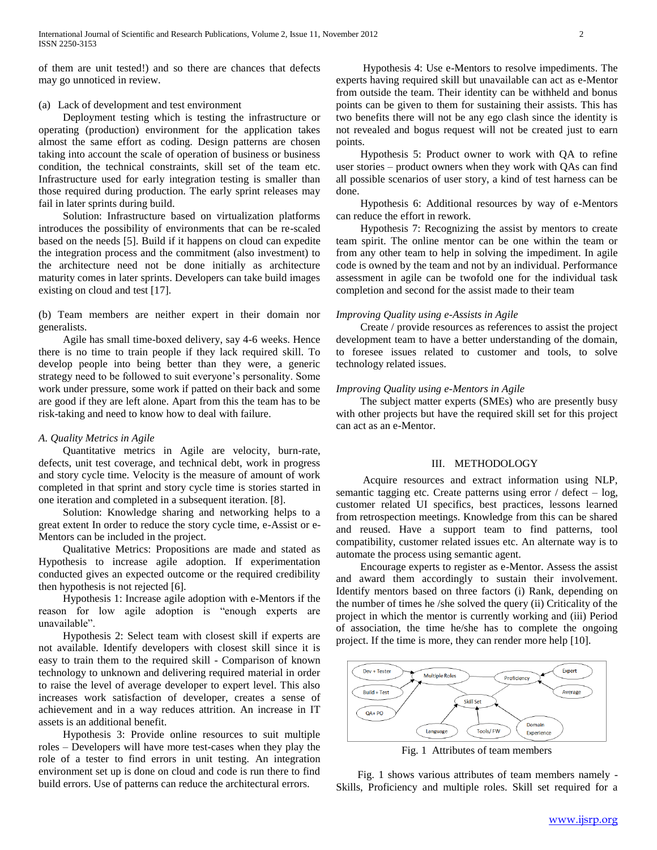of them are unit tested!) and so there are chances that defects may go unnoticed in review.

#### (a) Lack of development and test environment

 Deployment testing which is testing the infrastructure or operating (production) environment for the application takes almost the same effort as coding. Design patterns are chosen taking into account the scale of operation of business or business condition, the technical constraints, skill set of the team etc. Infrastructure used for early integration testing is smaller than those required during production. The early sprint releases may fail in later sprints during build.

 Solution: Infrastructure based on virtualization platforms introduces the possibility of environments that can be re-scaled based on the needs [5]. Build if it happens on cloud can expedite the integration process and the commitment (also investment) to the architecture need not be done initially as architecture maturity comes in later sprints. Developers can take build images existing on cloud and test [17].

(b) Team members are neither expert in their domain nor generalists.

 Agile has small time-boxed delivery, say 4-6 weeks. Hence there is no time to train people if they lack required skill. To develop people into being better than they were, a generic strategy need to be followed to suit everyone's personality. Some work under pressure, some work if patted on their back and some are good if they are left alone. Apart from this the team has to be risk-taking and need to know how to deal with failure.

## *A. Quality Metrics in Agile*

 Quantitative metrics in Agile are velocity, burn-rate, defects, unit test coverage, and technical debt, work in progress and story cycle time. Velocity is the measure of amount of work completed in that sprint and story cycle time is stories started in one iteration and completed in a subsequent iteration. [8].

 Solution: Knowledge sharing and networking helps to a great extent In order to reduce the story cycle time, e-Assist or e-Mentors can be included in the project.

 Qualitative Metrics: Propositions are made and stated as Hypothesis to increase agile adoption. If experimentation conducted gives an expected outcome or the required credibility then hypothesis is not rejected [6].

 Hypothesis 1: Increase agile adoption with e-Mentors if the reason for low agile adoption is "enough experts are unavailable".

 Hypothesis 2: Select team with closest skill if experts are not available. Identify developers with closest skill since it is easy to train them to the required skill - Comparison of known technology to unknown and delivering required material in order to raise the level of average developer to expert level. This also increases work satisfaction of developer, creates a sense of achievement and in a way reduces attrition. An increase in IT assets is an additional benefit.

 Hypothesis 3: Provide online resources to suit multiple roles – Developers will have more test-cases when they play the role of a tester to find errors in unit testing. An integration environment set up is done on cloud and code is run there to find build errors. Use of patterns can reduce the architectural errors.

 Hypothesis 4: Use e-Mentors to resolve impediments. The experts having required skill but unavailable can act as e-Mentor from outside the team. Their identity can be withheld and bonus points can be given to them for sustaining their assists. This has two benefits there will not be any ego clash since the identity is not revealed and bogus request will not be created just to earn points.

 Hypothesis 5: Product owner to work with QA to refine user stories – product owners when they work with QAs can find all possible scenarios of user story, a kind of test harness can be done.

 Hypothesis 6: Additional resources by way of e-Mentors can reduce the effort in rework.

 Hypothesis 7: Recognizing the assist by mentors to create team spirit. The online mentor can be one within the team or from any other team to help in solving the impediment. In agile code is owned by the team and not by an individual. Performance assessment in agile can be twofold one for the individual task completion and second for the assist made to their team

## *Improving Quality using e-Assists in Agile*

 Create / provide resources as references to assist the project development team to have a better understanding of the domain, to foresee issues related to customer and tools, to solve technology related issues.

## *Improving Quality using e-Mentors in Agile*

 The subject matter experts (SMEs) who are presently busy with other projects but have the required skill set for this project can act as an e-Mentor.

## III. METHODOLOGY

 Acquire resources and extract information using NLP, semantic tagging etc. Create patterns using error  $\ell$  defect – log, customer related UI specifics, best practices, lessons learned from retrospection meetings. Knowledge from this can be shared and reused. Have a support team to find patterns, tool compatibility, customer related issues etc. An alternate way is to automate the process using semantic agent.

 Encourage experts to register as e-Mentor. Assess the assist and award them accordingly to sustain their involvement. Identify mentors based on three factors (i) Rank, depending on the number of times he /she solved the query (ii) Criticality of the project in which the mentor is currently working and (iii) Period of association, the time he/she has to complete the ongoing project. If the time is more, they can render more help [10].



Fig. 1 Attributes of team members

 Fig. 1 shows various attributes of team members namely - Skills, Proficiency and multiple roles. Skill set required for a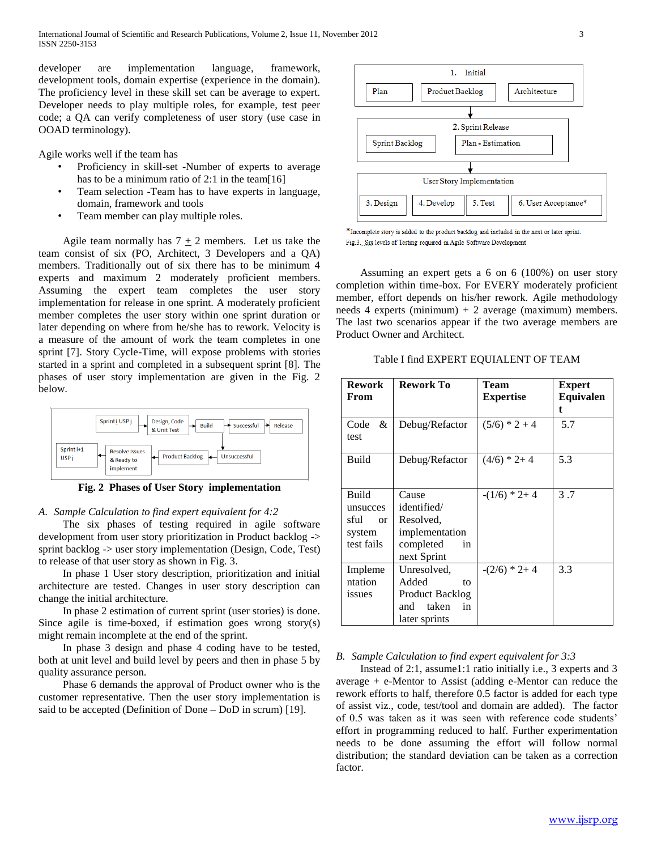International Journal of Scientific and Research Publications, Volume 2, Issue 11, November 2012 3 ISSN 2250-3153

developer are implementation language, framework, development tools, domain expertise (experience in the domain). The proficiency level in these skill set can be average to expert. Developer needs to play multiple roles, for example, test peer code; a QA can verify completeness of user story (use case in OOAD terminology).

Agile works well if the team has

- Proficiency in skill-set -Number of experts to average has to be a minimum ratio of 2:1 in the team[16]
- Team selection -Team has to have experts in language, domain, framework and tools
- Team member can play multiple roles.

Agile team normally has  $7 + 2$  members. Let us take the team consist of six (PO, Architect, 3 Developers and a QA) members. Traditionally out of six there has to be minimum 4 experts and maximum 2 moderately proficient members. Assuming the expert team completes the user story implementation for release in one sprint. A moderately proficient member completes the user story within one sprint duration or later depending on where from he/she has to rework. Velocity is a measure of the amount of work the team completes in one sprint [7]. Story Cycle-Time, will expose problems with stories started in a sprint and completed in a subsequent sprint [8]. The phases of user story implementation are given in the Fig. 2 below.



**Fig. 2 Phases of User Story implementation**

## *A. Sample Calculation to find expert equivalent for 4:2*

 The six phases of testing required in agile software development from user story prioritization in Product backlog -> sprint backlog -> user story implementation (Design, Code, Test) to release of that user story as shown in Fig. 3.

 In phase 1 User story description, prioritization and initial architecture are tested. Changes in user story description can change the initial architecture.

 In phase 2 estimation of current sprint (user stories) is done. Since agile is time-boxed, if estimation goes wrong story(s) might remain incomplete at the end of the sprint.

 In phase 3 design and phase 4 coding have to be tested, both at unit level and build level by peers and then in phase 5 by quality assurance person.

 Phase 6 demands the approval of Product owner who is the customer representative. Then the user story implementation is said to be accepted (Definition of Done – DoD in scrum) [19].



\*Incomplete story is added to the product backlog and included in the next or later sprint. Fig.3. Six levels of Testing required in Agile Software Development

 Assuming an expert gets a 6 on 6 (100%) on user story completion within time-box. For EVERY moderately proficient member, effort depends on his/her rework. Agile methodology needs 4 experts (minimum)  $+ 2$  average (maximum) members. The last two scenarios appear if the two average members are Product Owner and Architect.

Table I find EXPERT EQUIALENT OF TEAM

| <b>Rework</b><br>From                                                | <b>Rework To</b>                                                                         | Team<br><b>Expertise</b> | <b>Expert</b><br>Equivalen<br>t |
|----------------------------------------------------------------------|------------------------------------------------------------------------------------------|--------------------------|---------------------------------|
| Code<br>&<br>test                                                    | Debug/Refactor                                                                           | $(5/6)*2+4$              | 5.7                             |
| Build                                                                | Debug/Refactor                                                                           | $(4/6)*2+4$              | 5.3                             |
| <b>Build</b><br>unsucces<br>sful<br>$\alpha$<br>system<br>test fails | Cause<br>identified/<br>Resolved,<br>implementation<br>completed<br>in<br>next Sprint    | $-(1/6)*2+4$             | 3.7                             |
| Impleme<br>ntation<br>issues                                         | Unresolved,<br>Added<br>to<br><b>Product Backlog</b><br>and taken<br>in<br>later sprints | $-(2/6)*2+4$             | 3.3                             |

*B. Sample Calculation to find expert equivalent for 3:3*

 Instead of 2:1, assume1:1 ratio initially i.e., 3 experts and 3 average + e-Mentor to Assist (adding e-Mentor can reduce the rework efforts to half, therefore 0.5 factor is added for each type of assist viz., code, test/tool and domain are added). The factor of 0.5 was taken as it was seen with reference code students' effort in programming reduced to half. Further experimentation needs to be done assuming the effort will follow normal distribution; the standard deviation can be taken as a correction factor.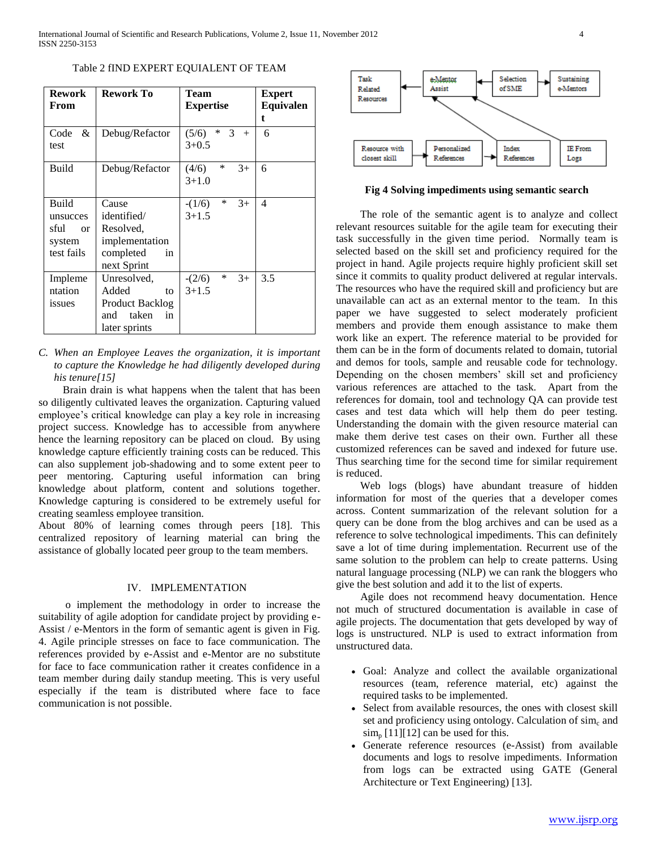Table 2 fIND EXPERT EQUIALENT OF TEAM

| <b>Rework</b><br>From                                                | <b>Rework To</b>                                                                      | Team<br><b>Expertise</b>                | <b>Expert</b><br><b>Equivalen</b><br>t. |
|----------------------------------------------------------------------|---------------------------------------------------------------------------------------|-----------------------------------------|-----------------------------------------|
| &<br>Code<br>test                                                    | Debug/Refactor                                                                        | $*3$<br>(5/6)<br>$+$<br>$3+0.5$         | 6                                       |
| <b>Build</b>                                                         | Debug/Refactor                                                                        | $\ast$<br>$3+$<br>(4/6)<br>$3+1.0$      | 6                                       |
| <b>Build</b><br>unsucces<br>sful<br>$\alpha$<br>system<br>test fails | Cause<br>identified/<br>Resolved,<br>implementation<br>completed<br>in<br>next Sprint | $\ast$<br>$3+$<br>$-(1/6)$<br>$3 + 1.5$ | 4                                       |
| Impleme<br>ntation<br>issues                                         | Unresolved,<br>Added<br>to<br>Product Backlog<br>taken<br>and<br>in<br>later sprints  | $\ast$<br>$3+$<br>$-(2/6)$<br>$3 + 1.5$ | 3.5                                     |

*C. When an Employee Leaves the organization, it is important to capture the Knowledge he had diligently developed during his tenure[15]*

 Brain drain is what happens when the talent that has been so diligently cultivated leaves the organization. Capturing valued employee's critical knowledge can play a key role in increasing project success. Knowledge has to accessible from anywhere hence the learning repository can be placed on cloud. By using knowledge capture efficiently training costs can be reduced. This can also supplement job-shadowing and to some extent peer to peer mentoring. Capturing useful information can bring knowledge about platform, content and solutions together. Knowledge capturing is considered to be extremely useful for creating seamless employee transition.

About 80% of learning comes through peers [18]. This centralized repository of learning material can bring the assistance of globally located peer group to the team members.

#### IV. IMPLEMENTATION

 o implement the methodology in order to increase the suitability of agile adoption for candidate project by providing e-Assist / e-Mentors in the form of semantic agent is given in Fig. 4. Agile principle stresses on face to face communication. The references provided by e-Assist and e-Mentor are no substitute for face to face communication rather it creates confidence in a team member during daily standup meeting. This is very useful especially if the team is distributed where face to face communication is not possible.



**Fig 4 Solving impediments using semantic search**

 The role of the semantic agent is to analyze and collect relevant resources suitable for the agile team for executing their task successfully in the given time period. Normally team is selected based on the skill set and proficiency required for the project in hand. Agile projects require highly proficient skill set since it commits to quality product delivered at regular intervals. The resources who have the required skill and proficiency but are unavailable can act as an external mentor to the team. In this paper we have suggested to select moderately proficient members and provide them enough assistance to make them work like an expert. The reference material to be provided for them can be in the form of documents related to domain, tutorial and demos for tools, sample and reusable code for technology. Depending on the chosen members' skill set and proficiency various references are attached to the task. Apart from the references for domain, tool and technology QA can provide test cases and test data which will help them do peer testing. Understanding the domain with the given resource material can make them derive test cases on their own. Further all these customized references can be saved and indexed for future use. Thus searching time for the second time for similar requirement is reduced.

 Web logs (blogs) have abundant treasure of hidden information for most of the queries that a developer comes across. Content summarization of the relevant solution for a query can be done from the blog archives and can be used as a reference to solve technological impediments. This can definitely save a lot of time during implementation. Recurrent use of the same solution to the problem can help to create patterns. Using natural language processing (NLP) we can rank the bloggers who give the best solution and add it to the list of experts.

 Agile does not recommend heavy documentation. Hence not much of structured documentation is available in case of agile projects. The documentation that gets developed by way of logs is unstructured. NLP is used to extract information from unstructured data.

- Goal: Analyze and collect the available organizational resources (team, reference material, etc) against the required tasks to be implemented.
- Select from available resources, the ones with closest skill set and proficiency using ontology. Calculation of  $sim<sub>c</sub>$  and  $\sin_{p}$  [11][12] can be used for this.
- Generate reference resources (e-Assist) from available documents and logs to resolve impediments. Information from logs can be extracted using GATE (General Architecture or Text Engineering) [13].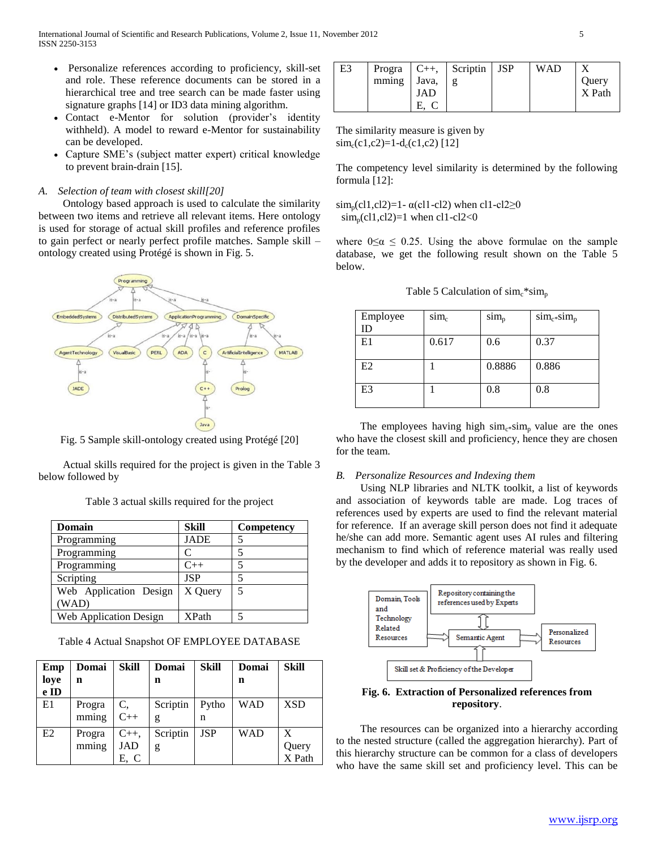- Personalize references according to proficiency, skill-set and role. These reference documents can be stored in a hierarchical tree and tree search can be made faster using signature graphs [14] or ID3 data mining algorithm.
- Contact e-Mentor for solution (provider's identity withheld). A model to reward e-Mentor for sustainability can be developed.
- Capture SME's (subject matter expert) critical knowledge to prevent brain-drain [15].

## *A. Selection of team with closest skill[20]*

 Ontology based approach is used to calculate the similarity between two items and retrieve all relevant items. Here ontology is used for storage of actual skill profiles and reference profiles to gain perfect or nearly perfect profile matches. Sample skill – ontology created using Protégé is shown in Fig. 5.



Fig. 5 Sample skill-ontology created using Protégé [20]

 Actual skills required for the project is given in the Table 3 below followed by

|  | Table 3 actual skills required for the project |  |  |
|--|------------------------------------------------|--|--|
|  |                                                |  |  |

| Domain                 | Skill        | <b>Competency</b> |
|------------------------|--------------|-------------------|
| Programming            | <b>JADE</b>  |                   |
| Programming            | $\subset$    |                   |
| Programming            | $C++$        |                   |
| Scripting              | <b>JSP</b>   |                   |
| Web Application Design | X Query      | 5                 |
| (WAD)                  |              |                   |
| Web Application Design | <b>XPath</b> |                   |

Table 4 Actual Snapshot OF EMPLOYEE DATABASE

| Emp  | Domai  | <b>Skill</b> | Domai    | <b>Skill</b> | Domai      | <b>Skill</b> |
|------|--------|--------------|----------|--------------|------------|--------------|
| loye | n      |              | n        |              | n          |              |
| e ID |        |              |          |              |            |              |
| E1   | Progra | C.           | Scriptin | Pytho        | <b>WAD</b> | <b>XSD</b>   |
|      | mming  | $C++$        | g        | n            |            |              |
| E2   | Progra | $C_{++}$     | Scriptin | <b>JSP</b>   | <b>WAD</b> | X            |
|      | mming  | JAD          | g        |              |            | Query        |
|      |        | E, C         |          |              |            | X Path       |

| E3 |             |     | Progra $ C_{++}, $ Scriptin | <b>JSP</b> | <b>WAD</b> |        |
|----|-------------|-----|-----------------------------|------------|------------|--------|
|    | mming Java, |     |                             |            |            | Ouery  |
|    |             | JAD |                             |            |            | X Path |
|    |             |     |                             |            |            |        |

The similarity measure is given by  $\text{sim}_c(c_1,c_2)=1-\text{d}_c(c_1,c_2)$  [12]

The competency level similarity is determined by the following formula [12]:

 $\text{sim}_p$ (cl1,cl2)=1-  $\alpha$ (cl1-cl2) when cl1-cl2 $\geq$ 0  $\text{sim}_p$ (cl1,cl2)=1 when cl1-cl2<0

where  $0 \le \alpha \le 0.25$ . Using the above formulae on the sample database, we get the following result shown on the Table 5 below.

| Employee       | $sim_c$ | $sim_{p}$ | $\text{sim}_{c^*}\text{sim}_{p}$ |
|----------------|---------|-----------|----------------------------------|
| ID             |         |           |                                  |
| E1             | 0.617   | 0.6       | 0.37                             |
|                |         |           |                                  |
| E2             |         | 0.8886    | 0.886                            |
| E <sub>3</sub> |         | 0.8       | 0.8                              |
|                |         |           |                                  |

The employees having high  $\text{sim}_{c*}\text{sim}_{p}$  value are the ones who have the closest skill and proficiency, hence they are chosen for the team.

## *B. Personalize Resources and Indexing them*

 Using NLP libraries and NLTK toolkit, a list of keywords and association of keywords table are made. Log traces of references used by experts are used to find the relevant material for reference. If an average skill person does not find it adequate he/she can add more. Semantic agent uses AI rules and filtering mechanism to find which of reference material was really used by the developer and adds it to repository as shown in Fig. 6.



# **Fig. 6. Extraction of Personalized references from repository**.

 The resources can be organized into a hierarchy according to the nested structure (called the aggregation hierarchy). Part of this hierarchy structure can be common for a class of developers who have the same skill set and proficiency level. This can be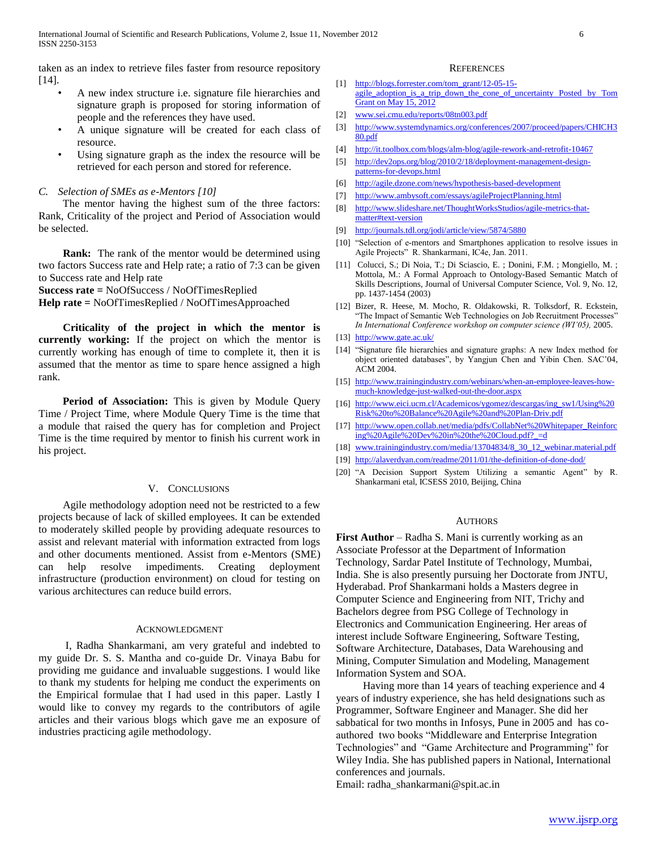taken as an index to retrieve files faster from resource repository [14].

- A new index structure i.e. signature file hierarchies and signature graph is proposed for storing information of people and the references they have used.
- A unique signature will be created for each class of resource.
- Using signature graph as the index the resource will be retrieved for each person and stored for reference.

#### *C. Selection of SMEs as e-Mentors [10]*

 The mentor having the highest sum of the three factors: Rank, Criticality of the project and Period of Association would be selected.

 **Rank:** The rank of the mentor would be determined using two factors Success rate and Help rate; a ratio of 7:3 can be given to Success rate and Help rate

**Success rate =** NoOfSuccess / NoOfTimesReplied

**Help rate =** NoOfTimesReplied / NoOfTimesApproached

 **Criticality of the project in which the mentor is currently working:** If the project on which the mentor is currently working has enough of time to complete it, then it is assumed that the mentor as time to spare hence assigned a high rank.

 **Period of Association:** This is given by Module Query Time / Project Time, where Module Query Time is the time that a module that raised the query has for completion and Project Time is the time required by mentor to finish his current work in his project.

## V. CONCLUSIONS

 Agile methodology adoption need not be restricted to a few projects because of lack of skilled employees. It can be extended to moderately skilled people by providing adequate resources to assist and relevant material with information extracted from logs and other documents mentioned. Assist from e-Mentors (SME) can help resolve impediments. Creating deployment infrastructure (production environment) on cloud for testing on various architectures can reduce build errors.

#### ACKNOWLEDGMENT

 I, Radha Shankarmani, am very grateful and indebted to my guide Dr. S. S. Mantha and co-guide Dr. Vinaya Babu for providing me guidance and invaluable suggestions. I would like to thank my students for helping me conduct the experiments on the Empirical formulae that I had used in this paper. Lastly I would like to convey my regards to the contributors of agile articles and their various blogs which gave me an exposure of industries practicing agile methodology.

#### **REFERENCES**

- [1] [http://blogs.forrester.com/tom\\_grant/12-05-15](http://blogs.forrester.com/tom_grant/12-05-15-agile_adoption_is_a_trip_down_the_cone_of_uncertainty%20Posted%20by%20Tom%20Grant%20on%20May%2015,%202012) agile\_adoption\_is\_a\_trip\_down\_the\_cone\_of\_uncertainty Posted by Tom **[Grant on May 15, 2012](http://blogs.forrester.com/tom_grant/12-05-15-agile_adoption_is_a_trip_down_the_cone_of_uncertainty%20Posted%20by%20Tom%20Grant%20on%20May%2015,%202012)**
- [2] [www.sei.cmu.edu/reports/08tn003.pdf](file:///D:/Raja/D/Vinay/AppData/Local/AppData/Local/Temp/www.sei.cmu.edu/reports/08tn003.pdf)
- [3] [http://www.systemdynamics.org/conferences/2007/proceed/papers/CHICH3](http://www.systemdynamics.org/conferences/2007/proceed/papers/CHICH380.pdf) [80.pdf](http://www.systemdynamics.org/conferences/2007/proceed/papers/CHICH380.pdf)
- [4] <http://it.toolbox.com/blogs/alm-blog/agile-rework-and-retrofit-10467>
- [5] [http://dev2ops.org/blog/2010/2/18/deployment-management-design](http://dev2ops.org/blog/2010/2/18/deployment-management-design-patterns-for-devops.html)[patterns-for-devops.html](http://dev2ops.org/blog/2010/2/18/deployment-management-design-patterns-for-devops.html)
- [6] <http://agile.dzone.com/news/hypothesis-based-development>
- [7] <http://www.ambysoft.com/essays/agileProjectPlanning.html>
- [8] [http://www.slideshare.net/ThoughtWorksStudios/agile-metrics-that](http://www.slideshare.net/ThoughtWorksStudios/agile-metrics-that-matter%23text-version)[matter#text-version](http://www.slideshare.net/ThoughtWorksStudios/agile-metrics-that-matter%23text-version)
- [9] <http://journals.tdl.org/jodi/article/view/5874/5880>
- [10] "Selection of e-mentors and Smartphones application to resolve issues in Agile Projects" R. Shankarmani, IC4e, Jan. 2011.
- [11] Colucci, S.; Di Noia, T.; Di Sciascio, E. ; Donini, F.M. ; Mongiello, M. ; Mottola, M.: A Formal Approach to Ontology-Based Semantic Match of Skills Descriptions, Journal of Universal Computer Science, Vol. 9, No. 12, pp. 1437-1454 (2003)
- [12] Bizer, R. Heese, M. Mocho, R. Oldakowski, R. Tolksdorf, R. Eckstein, "The Impact of Semantic Web Technologies on Job Recruitment Processes' *In International Conference workshop on computer science (WI'05),* 2005.
- [13] <http://www.gate.ac.uk/>
- [14] "Signature file hierarchies and signature graphs: A new Index method for object oriented databases", by Yangjun Chen and Yibin Chen. SAC'04, ACM 2004.
- [15] [http://www.trainingindustry.com/webinars/when-an-employee-leaves-how](http://www.trainingindustry.com/webinars/when-an-employee-leaves-how-much-knowledge-just-walked-out-the-door.aspx)[much-knowledge-just-walked-out-the-door.aspx](http://www.trainingindustry.com/webinars/when-an-employee-leaves-how-much-knowledge-just-walked-out-the-door.aspx)
- [16] [http://www.eici.ucm.cl/Academicos/ygomez/descargas/ing\\_sw1/Using%20](http://www.eici.ucm.cl/Academicos/ygomez/descargas/ing_sw1/Using%20Risk%20to%20Balance%20Agile%20and%20Plan-Driv.pdf) [Risk%20to%20Balance%20Agile%20and%20Plan-Driv.pdf](http://www.eici.ucm.cl/Academicos/ygomez/descargas/ing_sw1/Using%20Risk%20to%20Balance%20Agile%20and%20Plan-Driv.pdf)
- [17] [http://www.open.collab.net/media/pdfs/CollabNet%20Whitepaper\\_Reinforc](http://www.open.collab.net/media/pdfs/CollabNet%20Whitepaper_Reinforcing%20Agile%20Dev%20in%20the%20Cloud.pdf?_=d) [ing%20Agile%20Dev%20in%20the%20Cloud.pdf?\\_=d](http://www.open.collab.net/media/pdfs/CollabNet%20Whitepaper_Reinforcing%20Agile%20Dev%20in%20the%20Cloud.pdf?_=d)
- [18] [www.trainingindustry.com/media/13704834/8\\_30\\_12\\_webinar.material.pdf](http://www.trainingindustry.com/media/13704834/8_30_12_webinar.material.pdf)
- [19] <http://alaverdyan.com/readme/2011/01/the-definition-of-done-dod/>
- [20] "A Decision Support System Utilizing a semantic Agent" by R. Shankarmani etal, ICSESS 2010, Beijing, China

#### **AUTHORS**

**First Author** – Radha S. Mani is currently working as an Associate Professor at the Department of Information Technology, Sardar Patel Institute of Technology, Mumbai, India. She is also presently pursuing her Doctorate from JNTU, Hyderabad. Prof Shankarmani holds a Masters degree in Computer Science and Engineering from NIT, Trichy and Bachelors degree from PSG College of Technology in Electronics and Communication Engineering. Her areas of interest include Software Engineering, Software Testing, Software Architecture, Databases, Data Warehousing and Mining, Computer Simulation and Modeling, Management Information System and SOA.

 Having more than 14 years of teaching experience and 4 years of industry experience, she has held designations such as Programmer, Software Engineer and Manager. She did her sabbatical for two months in Infosys, Pune in 2005 and has coauthored two books "Middleware and Enterprise Integration Technologies" and "Game Architecture and Programming" for Wiley India. She has published papers in National, International conferences and journals.

Email: radha\_shankarmani@spit.ac.in